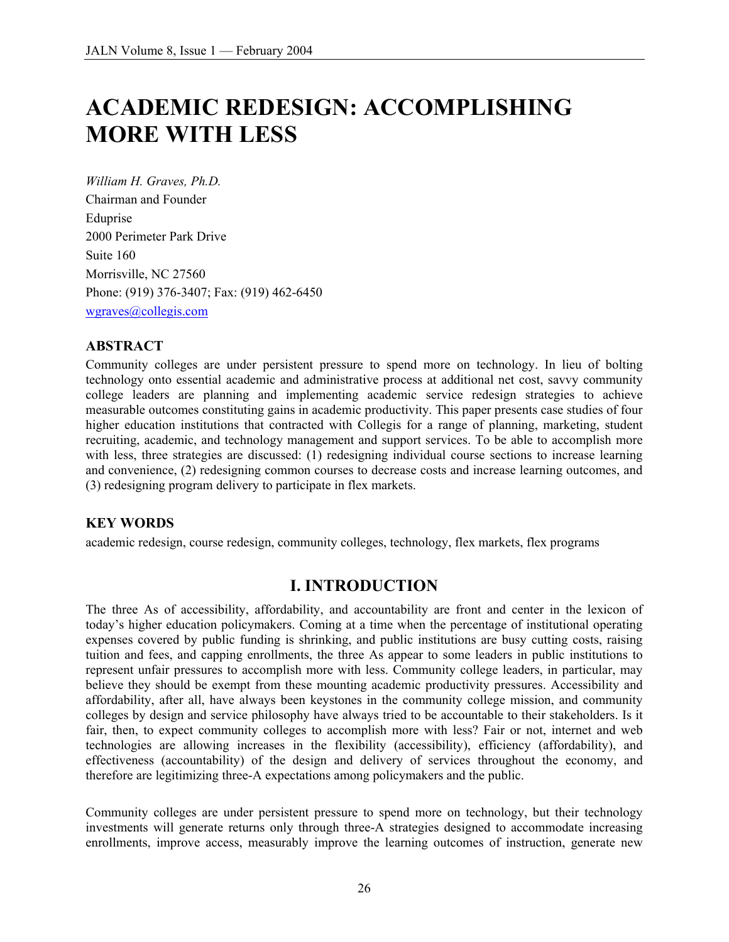# **ACADEMIC REDESIGN: ACCOMPLISHING MORE WITH LESS**

*William H. Graves, Ph.D.*  Chairman and Founder Eduprise 2000 Perimeter Park Drive Suite 160 Morrisville, NC 27560 Phone: (919) 376-3407; Fax: (919) 462-6450 wgraves@collegis.com

#### **ABSTRACT**

Community colleges are under persistent pressure to spend more on technology. In lieu of bolting technology onto essential academic and administrative process at additional net cost, savvy community college leaders are planning and implementing academic service redesign strategies to achieve measurable outcomes constituting gains in academic productivity. This paper presents case studies of four higher education institutions that contracted with Collegis for a range of planning, marketing, student recruiting, academic, and technology management and support services. To be able to accomplish more with less, three strategies are discussed: (1) redesigning individual course sections to increase learning and convenience, (2) redesigning common courses to decrease costs and increase learning outcomes, and (3) redesigning program delivery to participate in flex markets.

#### **KEY WORDS**

academic redesign, course redesign, community colleges, technology, flex markets, flex programs

#### **I. INTRODUCTION**

The three As of accessibility, affordability, and accountability are front and center in the lexicon of today's higher education policymakers. Coming at a time when the percentage of institutional operating expenses covered by public funding is shrinking, and public institutions are busy cutting costs, raising tuition and fees, and capping enrollments, the three As appear to some leaders in public institutions to represent unfair pressures to accomplish more with less. Community college leaders, in particular, may believe they should be exempt from these mounting academic productivity pressures. Accessibility and affordability, after all, have always been keystones in the community college mission, and community colleges by design and service philosophy have always tried to be accountable to their stakeholders. Is it fair, then, to expect community colleges to accomplish more with less? Fair or not, internet and web technologies are allowing increases in the flexibility (accessibility), efficiency (affordability), and effectiveness (accountability) of the design and delivery of services throughout the economy, and therefore are legitimizing three-A expectations among policymakers and the public.

Community colleges are under persistent pressure to spend more on technology, but their technology investments will generate returns only through three-A strategies designed to accommodate increasing enrollments, improve access, measurably improve the learning outcomes of instruction, generate new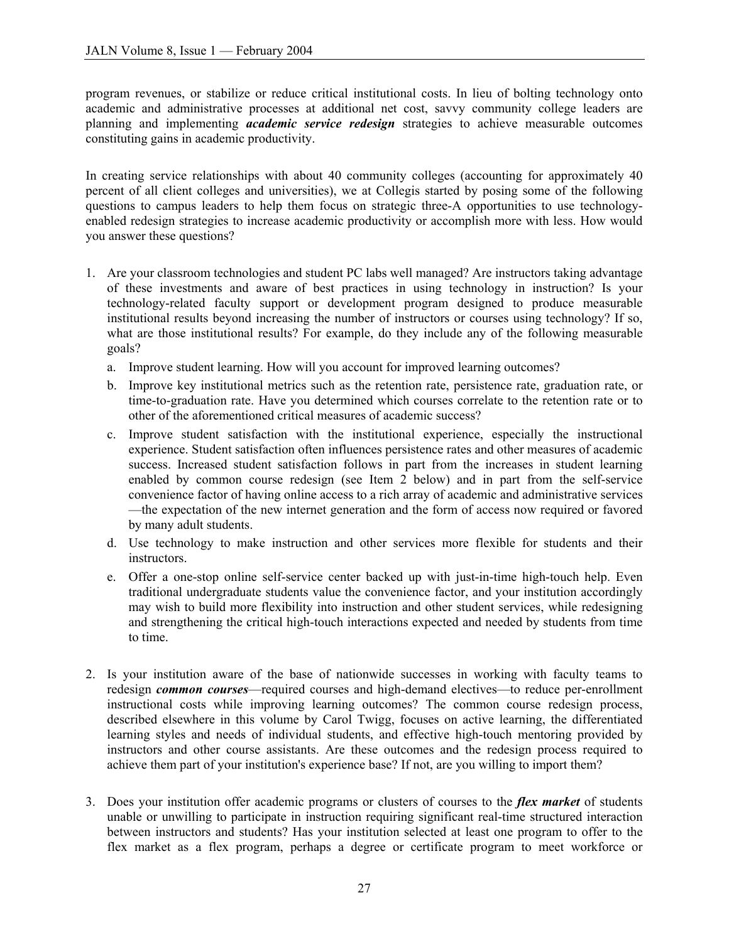program revenues, or stabilize or reduce critical institutional costs. In lieu of bolting technology onto academic and administrative processes at additional net cost, savvy community college leaders are planning and implementing *academic service redesign* strategies to achieve measurable outcomes constituting gains in academic productivity.

In creating service relationships with about 40 community colleges (accounting for approximately 40 percent of all client colleges and universities), we at Collegis started by posing some of the following questions to campus leaders to help them focus on strategic three-A opportunities to use technologyenabled redesign strategies to increase academic productivity or accomplish more with less. How would you answer these questions?

- 1. Are your classroom technologies and student PC labs well managed? Are instructors taking advantage of these investments and aware of best practices in using technology in instruction? Is your technology-related faculty support or development program designed to produce measurable institutional results beyond increasing the number of instructors or courses using technology? If so, what are those institutional results? For example, do they include any of the following measurable goals?
	- a. Improve student learning. How will you account for improved learning outcomes?
	- b. Improve key institutional metrics such as the retention rate, persistence rate, graduation rate, or time-to-graduation rate. Have you determined which courses correlate to the retention rate or to other of the aforementioned critical measures of academic success?
	- c. Improve student satisfaction with the institutional experience, especially the instructional experience. Student satisfaction often influences persistence rates and other measures of academic success. Increased student satisfaction follows in part from the increases in student learning enabled by common course redesign (see Item  $2$  below) and in part from the self-service convenience factor of having online access to a rich array of academic and administrative services —the expectation of the new internet generation and the form of access now required or favored by many adult students.
	- d. Use technology to make instruction and other services more flexible for students and their instructors.
	- e. Offer a one-stop online self-service center backed up with just-in-time high-touch help. Even traditional undergraduate students value the convenience factor, and your institution accordingly may wish to build more flexibility into instruction and other student services, while redesigning and strengthening the critical high-touch interactions expected and needed by students from time to time.
- 2. Is your institution aware of the base of nationwide successes in working with faculty teams to redesign *common courses*—required courses and high-demand electives—to reduce per-enrollment instructional costs while improving learning outcomes? The common course redesign process, described elsewhere in this volume by Carol Twigg, focuses on active learning, the differentiated learning styles and needs of individual students, and effective high-touch mentoring provided by instructors and other course assistants. Are these outcomes and the redesign process required to achieve them part of your institution's experience base? If not, are you willing to import them?
- 3. Does your institution offer academic programs or clusters of courses to the *flex market* of students unable or unwilling to participate in instruction requiring significant real-time structured interaction between instructors and students? Has your institution selected at least one program to offer to the flex market as a flex program, perhaps a degree or certificate program to meet workforce or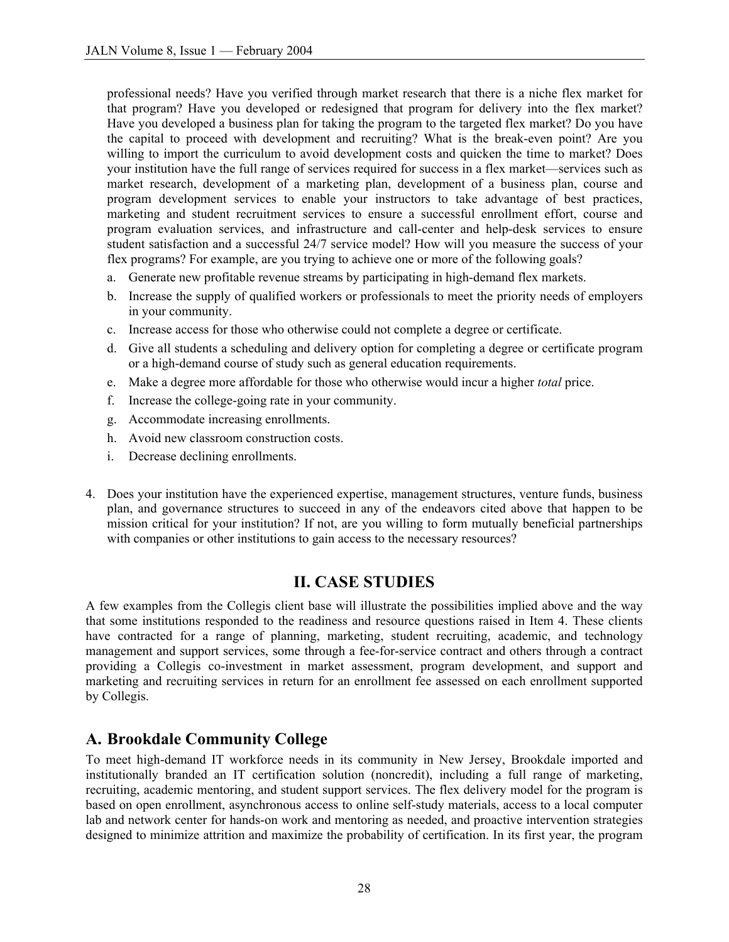professional needs? Have you verified through market research that there is a niche flex market for that program? Have you developed or redesigned that program for delivery into the flex market? Have you developed a business plan for taking the program to the targeted flex market? Do you have the capital to proceed with development and recruiting? What is the break-even point? Are you willing to import the curriculum to avoid development costs and quicken the time to market? Does your institution have the full range of services required for success in a flex market—services such as market research, development of a marketing plan, development of a business plan, course and program development services to enable your instructors to take advantage of best practices, marketing and student recruitment services to ensure a successful enrollment effort, course and program evaluation services, and infrastructure and call-center and help-desk services to ensure student satisfaction and a successful 24/7 service model? How will you measure the success of your flex programs? For example, are you trying to achieve one or more of the following goals?

- a. Generate new profitable revenue streams by participating in high-demand flex markets.
- b. Increase the supply of qualified workers or professionals to meet the priority needs of employers in your community.
- c. Increase access for those who otherwise could not complete a degree or certificate.
- d. Give all students a scheduling and delivery option for completing a degree or certificate program or a high-demand course of study such as general education requirements.
- e. Make a degree more affordable for those who otherwise would incur a higher *total* price.
- f. Increase the college-going rate in your community.
- g. Accommodate increasing enrollments.
- h. Avoid new classroom construction costs.
- i. Decrease declining enrollments.
- 4. Does your institution have the experienced expertise, management structures, venture funds, business plan, and governance structures to succeed in any of the endeavors cited above that happen to be mission critical for your institution? If not, are you willing to form mutually beneficial partnerships with companies or other institutions to gain access to the necessary resources?

#### **II. CASE STUDIES**

A few examples from the Collegis client base will illustrate the possibilities implied above and the way that some institutions responded to the readiness and resource questions raised in Item 4. These clients have contracted for a range of planning, marketing, student recruiting, academic, and technology management and support services, some through a fee-for-service contract and others through a contract providing a Collegis co-investment in market assessment, program development, and support and marketing and recruiting services in return for an enrollment fee assessed on each enrollment supported by Collegis.

#### **A. Brookdale Community College**

To meet high-demand IT workforce needs in its community in New Jersey, Brookdale imported and institutionally branded an IT certification solution (noncredit), including a full range of marketing, recruiting, academic mentoring, and student support services. The flex delivery model for the program is based on open enrollment, asynchronous access to online self-study materials, access to a local computer lab and network center for hands-on work and mentoring as needed, and proactive intervention strategies designed to minimize attrition and maximize the probability of certification. In its first year, the program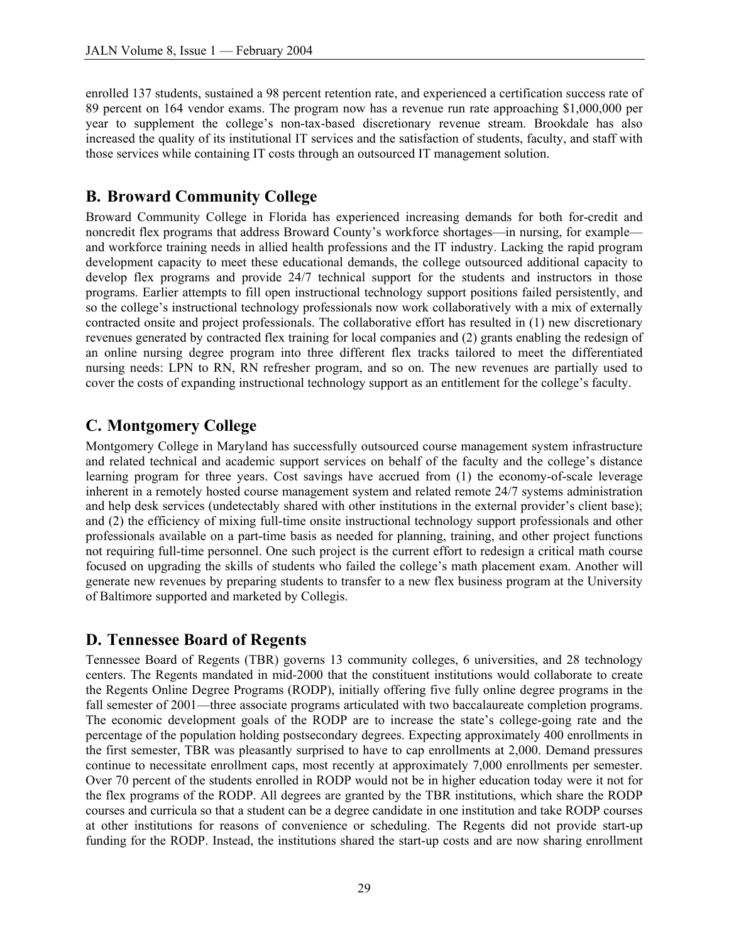enrolled 137 students, sustained a 98 percent retention rate, and experienced a certification success rate of 89 percent on 164 vendor exams. The program now has a revenue run rate approaching \$1,000,000 per year to supplement the college's non-tax-based discretionary revenue stream. Brookdale has also increased the quality of its institutional IT services and the satisfaction of students, faculty, and staff with those services while containing IT costs through an outsourced IT management solution.

# **B. Broward Community College**

Broward Community College in Florida has experienced increasing demands for both for-credit and noncredit flex programs that address Broward County's workforce shortages—in nursing, for example and workforce training needs in allied health professions and the IT industry. Lacking the rapid program development capacity to meet these educational demands, the college outsourced additional capacity to develop flex programs and provide  $24/7$  technical support for the students and instructors in those programs. Earlier attempts to fill open instructional technology support positions failed persistently, and so the college's instructional technology professionals now work collaboratively with a mix of externally contracted onsite and project professionals. The collaborative effort has resulted in (1) new discretionary revenues generated by contracted flex training for local companies and (2) grants enabling the redesign of an online nursing degree program into three different flex tracks tailored to meet the differentiated nursing needs: LPN to RN, RN refresher program, and so on. The new revenues are partially used to cover the costs of expanding instructional technology support as an entitlement for the college's faculty.

# **C. Montgomery College**

Montgomery College in Maryland has successfully outsourced course management system infrastructure and related technical and academic support services on behalf of the faculty and the college's distance learning program for three years. Cost savings have accrued from (1) the economy-of-scale leverage inherent in a remotely hosted course management system and related remote 24/7 systems administration and help desk services (undetectably shared with other institutions in the external provider's client base); and (2) the efficiency of mixing full-time onsite instructional technology support professionals and other professionals available on a part-time basis as needed for planning, training, and other project functions not requiring full-time personnel. One such project is the current effort to redesign a critical math course focused on upgrading the skills of students who failed the college's math placement exam. Another will generate new revenues by preparing students to transfer to a new flex business program at the University of Baltimore supported and marketed by Collegis.

## **D. Tennessee Board of Regents**

Tennessee Board of Regents (TBR) governs 13 community colleges, 6 universities, and 28 technology centers. The Regents mandated in mid-2000 that the constituent institutions would collaborate to create the Regents Online Degree Programs (RODP), initially offering five fully online degree programs in the fall semester of 2001—three associate programs articulated with two baccalaureate completion programs. The economic development goals of the RODP are to increase the state's college-going rate and the percentage of the population holding postsecondary degrees. Expecting approximately 400 enrollments in the first semester, TBR was pleasantly surprised to have to cap enrollments at 2,000. Demand pressures continue to necessitate enrollment caps, most recently at approximately 7,000 enrollments per semester. Over 70 percent of the students enrolled in RODP would not be in higher education today were it not for the flex programs of the RODP. All degrees are granted by the TBR institutions, which share the RODP courses and curricula so that a student can be a degree candidate in one institution and take RODP courses at other institutions for reasons of convenience or scheduling. The Regents did not provide start-up funding for the RODP. Instead, the institutions shared the start-up costs and are now sharing enrollment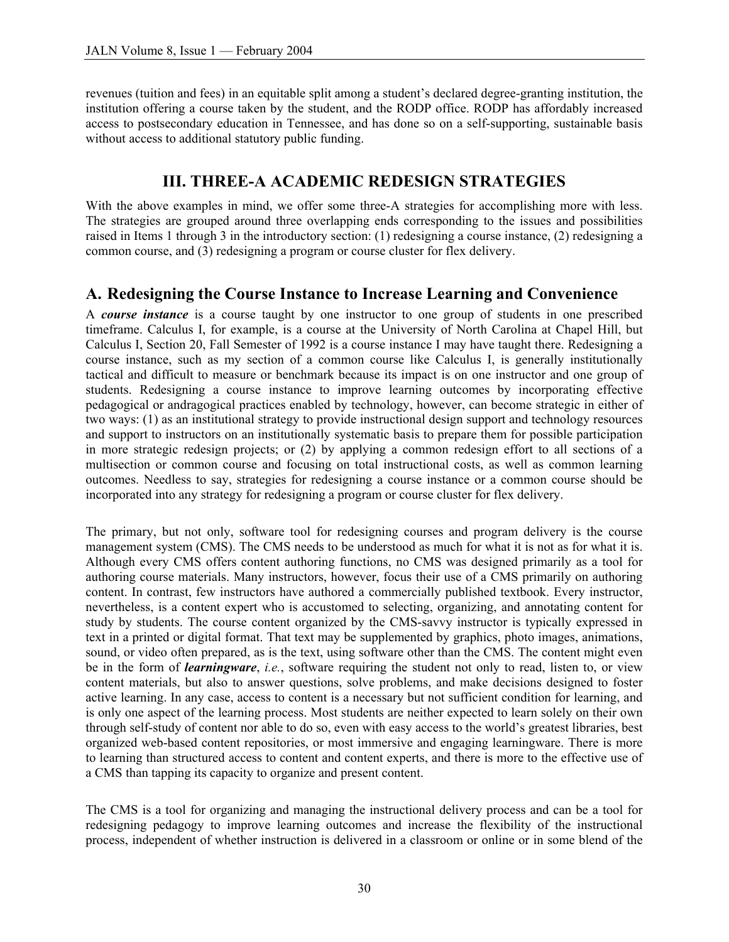revenues (tuition and fees) in an equitable split among a student's declared degree-granting institution, the institution offering a course taken by the student, and the RODP office. RODP has affordably increased access to postsecondary education in Tennessee, and has done so on a self-supporting, sustainable basis without access to additional statutory public funding.

# **III. THREE-A ACADEMIC REDESIGN STRATEGIES**

With the above examples in mind, we offer some three-A strategies for accomplishing more with less. The strategies are grouped around three overlapping ends corresponding to the issues and possibilities raised in Items 1 through 3 in the introductory section: (1) redesigning a course instance, (2) redesigning a common course, and (3) redesigning a program or course cluster for flex delivery.

#### **A. Redesigning the Course Instance to Increase Learning and Convenience**

A *course instance* is a course taught by one instructor to one group of students in one prescribed timeframe. Calculus I, for example, is a course at the University of North Carolina at Chapel Hill, but Calculus I, Section 20, Fall Semester of 1992 is a course instance I may have taught there. Redesigning a course instance, such as my section of a common course like Calculus I, is generally institutionally tactical and difficult to measure or benchmark because its impact is on one instructor and one group of students. Redesigning a course instance to improve learning outcomes by incorporating effective pedagogical or andragogical practices enabled by technology, however, can become strategic in either of two ways: (1) as an institutional strategy to provide instructional design support and technology resources and support to instructors on an institutionally systematic basis to prepare them for possible participation in more strategic redesign projects; or (2) by applying a common redesign effort to all sections of a multisection or common course and focusing on total instructional costs, as well as common learning outcomes. Needless to say, strategies for redesigning a course instance or a common course should be incorporated into any strategy for redesigning a program or course cluster for flex delivery.

The primary, but not only, software tool for redesigning courses and program delivery is the course management system (CMS). The CMS needs to be understood as much for what it is not as for what it is. Although every CMS offers content authoring functions, no CMS was designed primarily as a tool for authoring course materials. Many instructors, however, focus their use of a CMS primarily on authoring content. In contrast, few instructors have authored a commercially published textbook. Every instructor, nevertheless, is a content expert who is accustomed to selecting, organizing, and annotating content for study by students. The course content organized by the CMS-savvy instructor is typically expressed in text in a printed or digital format. That text may be supplemented by graphics, photo images, animations, sound, or video often prepared, as is the text, using software other than the CMS. The content might even be in the form of *learningware*, *i.e.*, software requiring the student not only to read, listen to, or view content materials, but also to answer questions, solve problems, and make decisions designed to foster active learning. In any case, access to content is a necessary but not sufficient condition for learning, and is only one aspect of the learning process. Most students are neither expected to learn solely on their own through self-study of content nor able to do so, even with easy access to the world's greatest libraries, best organized web-based content repositories, or most immersive and engaging learningware. There is more to learning than structured access to content and content experts, and there is more to the effective use of a CMS than tapping its capacity to organize and present content.

The CMS is a tool for organizing and managing the instructional delivery process and can be a tool for redesigning pedagogy to improve learning outcomes and increase the flexibility of the instructional process, independent of whether instruction is delivered in a classroom or online or in some blend of the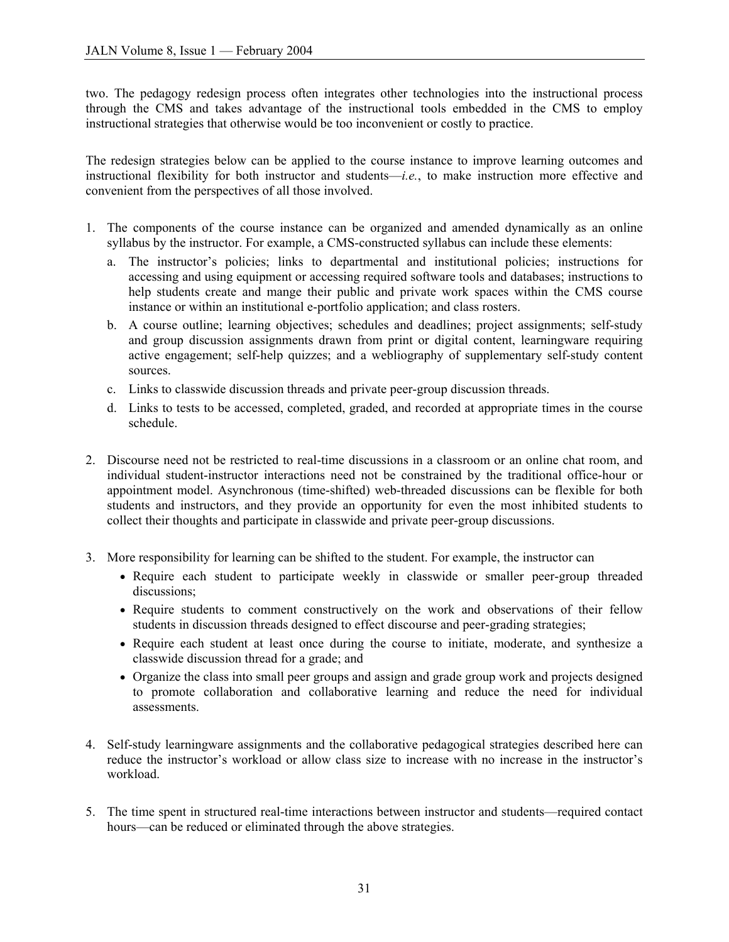two. The pedagogy redesign process often integrates other technologies into the instructional process through the CMS and takes advantage of the instructional tools embedded in the CMS to employ instructional strategies that otherwise would be too inconvenient or costly to practice.

The redesign strategies below can be applied to the course instance to improve learning outcomes and instructional flexibility for both instructor and students—*i.e.*, to make instruction more effective and convenient from the perspectives of all those involved.

- 1. The components of the course instance can be organized and amended dynamically as an online syllabus by the instructor. For example, a CMS-constructed syllabus can include these elements:
	- a. The instructor's policies; links to departmental and institutional policies; instructions for accessing and using equipment or accessing required software tools and databases; instructions to help students create and mange their public and private work spaces within the CMS course instance or within an institutional e-portfolio application; and class rosters.
	- b. A course outline; learning objectives; schedules and deadlines; project assignments; self-study and group discussion assignments drawn from print or digital content, learningware requiring active engagement; self-help quizzes; and a webliography of supplementary self-study content sources.
	- c. Links to classwide discussion threads and private peer-group discussion threads.
	- d. Links to tests to be accessed, completed, graded, and recorded at appropriate times in the course schedule.
- 2. Discourse need not be restricted to real-time discussions in a classroom or an online chat room, and individual student-instructor interactions need not be constrained by the traditional office-hour or appointment model. Asynchronous (time-shifted) web-threaded discussions can be flexible for both students and instructors, and they provide an opportunity for even the most inhibited students to collect their thoughts and participate in classwide and private peer-group discussions.
- 3. More responsibility for learning can be shifted to the student. For example, the instructor can
	- Require each student to participate weekly in classwide or smaller peer-group threaded discussions;
	- Require students to comment constructively on the work and observations of their fellow students in discussion threads designed to effect discourse and peer-grading strategies;
	- Require each student at least once during the course to initiate, moderate, and synthesize a classwide discussion thread for a grade; and
	- Organize the class into small peer groups and assign and grade group work and projects designed to promote collaboration and collaborative learning and reduce the need for individual assessments.
- 4. Self-study learningware assignments and the collaborative pedagogical strategies described here can reduce the instructor's workload or allow class size to increase with no increase in the instructor's workload.
- 5. The time spent in structured real-time interactions between instructor and students—required contact hours—can be reduced or eliminated through the above strategies.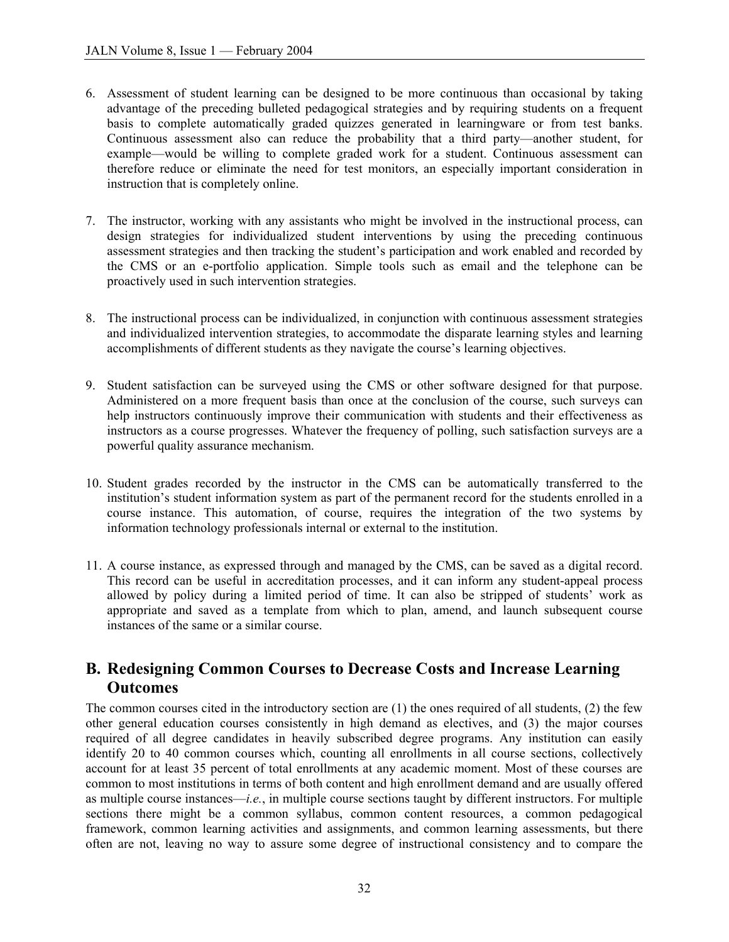- 6. Assessment of student learning can be designed to be more continuous than occasional by taking advantage of the preceding bulleted pedagogical strategies and by requiring students on a frequent basis to complete automatically graded quizzes generated in learningware or from test banks. Continuous assessment also can reduce the probability that a third party—another student, for example—would be willing to complete graded work for a student. Continuous assessment can therefore reduce or eliminate the need for test monitors, an especially important consideration in instruction that is completely online.
- 7. The instructor, working with any assistants who might be involved in the instructional process, can design strategies for individualized student interventions by using the preceding continuous assessment strategies and then tracking the student's participation and work enabled and recorded by the CMS or an e-portfolio application. Simple tools such as email and the telephone can be proactively used in such intervention strategies.
- 8. The instructional process can be individualized, in conjunction with continuous assessment strategies and individualized intervention strategies, to accommodate the disparate learning styles and learning accomplishments of different students as they navigate the course's learning objectives.
- 9. Student satisfaction can be surveyed using the CMS or other software designed for that purpose. Administered on a more frequent basis than once at the conclusion of the course, such surveys can help instructors continuously improve their communication with students and their effectiveness as instructors as a course progresses. Whatever the frequency of polling, such satisfaction surveys are a powerful quality assurance mechanism.
- 10. Student grades recorded by the instructor in the CMS can be automatically transferred to the institution's student information system as part of the permanent record for the students enrolled in a course instance. This automation, of course, requires the integration of the two systems by information technology professionals internal or external to the institution.
- 11. A course instance, as expressed through and managed by the CMS, can be saved as a digital record. This record can be useful in accreditation processes, and it can inform any student-appeal process allowed by policy during a limited period of time. It can also be stripped of students' work as appropriate and saved as a template from which to plan, amend, and launch subsequent course instances of the same or a similar course.

#### **B. Redesigning Common Courses to Decrease Costs and Increase Learning Outcomes**

The common courses cited in the introductory section are (1) the ones required of all students, (2) the few other general education courses consistently in high demand as electives, and (3) the major courses required of all degree candidates in heavily subscribed degree programs. Any institution can easily identify 20 to 40 common courses which, counting all enrollments in all course sections, collectively account for at least 35 percent of total enrollments at any academic moment. Most of these courses are common to most institutions in terms of both content and high enrollment demand and are usually offered as multiple course instances—*i.e.*, in multiple course sections taught by different instructors. For multiple sections there might be a common syllabus, common content resources, a common pedagogical framework, common learning activities and assignments, and common learning assessments, but there often are not, leaving no way to assure some degree of instructional consistency and to compare the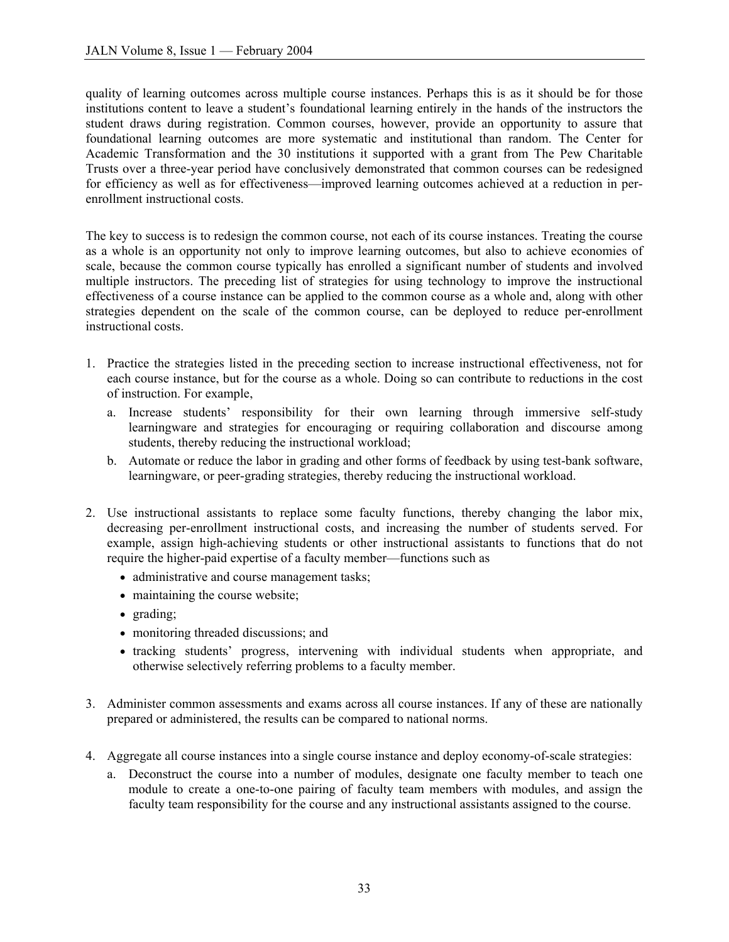quality of learning outcomes across multiple course instances. Perhaps this is as it should be for those institutions content to leave a student's foundational learning entirely in the hands of the instructors the student draws during registration. Common courses, however, provide an opportunity to assure that foundational learning outcomes are more systematic and institutional than random. The Center for Academic Transformation and the 30 institutions it supported with a grant from The Pew Charitable Trusts over a three-year period have conclusively demonstrated that common courses can be redesigned for efficiency as well as for effectiveness—improved learning outcomes achieved at a reduction in perenrollment instructional costs.

The key to success is to redesign the common course, not each of its course instances. Treating the course as a whole is an opportunity not only to improve learning outcomes, but also to achieve economies of scale, because the common course typically has enrolled a significant number of students and involved multiple instructors. The preceding list of strategies for using technology to improve the instructional effectiveness of a course instance can be applied to the common course as a whole and, along with other strategies dependent on the scale of the common course, can be deployed to reduce per-enrollment instructional costs.

- 1. Practice the strategies listed in the preceding section to increase instructional effectiveness, not for each course instance, but for the course as a whole. Doing so can contribute to reductions in the cost of instruction. For example,
	- a. Increase students' responsibility for their own learning through immersive self-study learningware and strategies for encouraging or requiring collaboration and discourse among students, thereby reducing the instructional workload;
	- b. Automate or reduce the labor in grading and other forms of feedback by using test-bank software, learningware, or peer-grading strategies, thereby reducing the instructional workload.
- 2. Use instructional assistants to replace some faculty functions, thereby changing the labor mix, decreasing per-enrollment instructional costs, and increasing the number of students served. For example, assign high-achieving students or other instructional assistants to functions that do not require the higher-paid expertise of a faculty member—functions such as
	- administrative and course management tasks;
	- maintaining the course website;
	- grading;
	- monitoring threaded discussions; and
	- tracking students' progress, intervening with individual students when appropriate, and otherwise selectively referring problems to a faculty member.
- 3. Administer common assessments and exams across all course instances. If any of these are nationally prepared or administered, the results can be compared to national norms.
- 4. Aggregate all course instances into a single course instance and deploy economy-of-scale strategies:
	- a. Deconstruct the course into a number of modules, designate one faculty member to teach one module to create a one-to-one pairing of faculty team members with modules, and assign the faculty team responsibility for the course and any instructional assistants assigned to the course.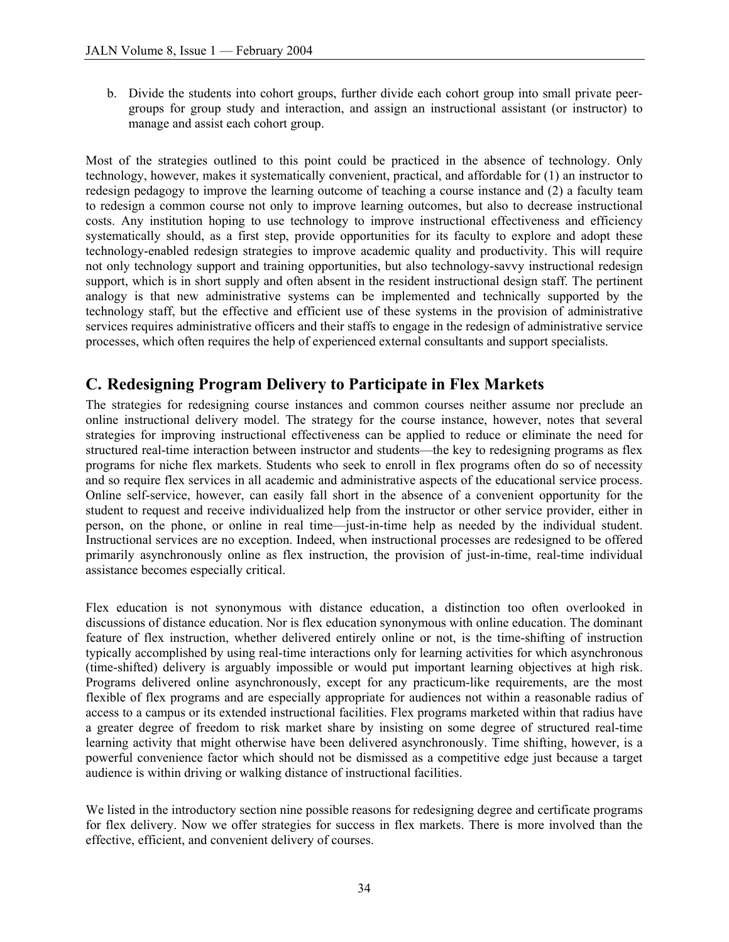b. Divide the students into cohort groups, further divide each cohort group into small private peergroups for group study and interaction, and assign an instructional assistant (or instructor) to manage and assist each cohort group.

Most of the strategies outlined to this point could be practiced in the absence of technology. Only technology, however, makes it systematically convenient, practical, and affordable for (1) an instructor to redesign pedagogy to improve the learning outcome of teaching a course instance and (2) a faculty team to redesign a common course not only to improve learning outcomes, but also to decrease instructional costs. Any institution hoping to use technology to improve instructional effectiveness and efficiency systematically should, as a first step, provide opportunities for its faculty to explore and adopt these technology-enabled redesign strategies to improve academic quality and productivity. This will require not only technology support and training opportunities, but also technology-savvy instructional redesign support, which is in short supply and often absent in the resident instructional design staff. The pertinent analogy is that new administrative systems can be implemented and technically supported by the technology staff, but the effective and efficient use of these systems in the provision of administrative services requires administrative officers and their staffs to engage in the redesign of administrative service processes, which often requires the help of experienced external consultants and support specialists.

# **C. Redesigning Program Delivery to Participate in Flex Markets**

The strategies for redesigning course instances and common courses neither assume nor preclude an online instructional delivery model. The strategy for the course instance, however, notes that several strategies for improving instructional effectiveness can be applied to reduce or eliminate the need for structured real-time interaction between instructor and students—the key to redesigning programs as flex programs for niche flex markets. Students who seek to enroll in flex programs often do so of necessity and so require flex services in all academic and administrative aspects of the educational service process. Online self-service, however, can easily fall short in the absence of a convenient opportunity for the student to request and receive individualized help from the instructor or other service provider, either in person, on the phone, or online in real time—just-in-time help as needed by the individual student. Instructional services are no exception. Indeed, when instructional processes are redesigned to be offered primarily asynchronously online as flex instruction, the provision of just-in-time, real-time individual assistance becomes especially critical.

Flex education is not synonymous with distance education, a distinction too often overlooked in discussions of distance education. Nor is flex education synonymous with online education. The dominant feature of flex instruction, whether delivered entirely online or not, is the time-shifting of instruction typically accomplished by using real-time interactions only for learning activities for which asynchronous (time-shifted) delivery is arguably impossible or would put important learning objectives at high risk. Programs delivered online asynchronously, except for any practicum-like requirements, are the most flexible of flex programs and are especially appropriate for audiences not within a reasonable radius of access to a campus or its extended instructional facilities. Flex programs marketed within that radius have a greater degree of freedom to risk market share by insisting on some degree of structured real-time learning activity that might otherwise have been delivered asynchronously. Time shifting, however, is a powerful convenience factor which should not be dismissed as a competitive edge just because a target audience is within driving or walking distance of instructional facilities.

We listed in the introductory section nine possible reasons for redesigning degree and certificate programs for flex delivery. Now we offer strategies for success in flex markets. There is more involved than the effective, efficient, and convenient delivery of courses.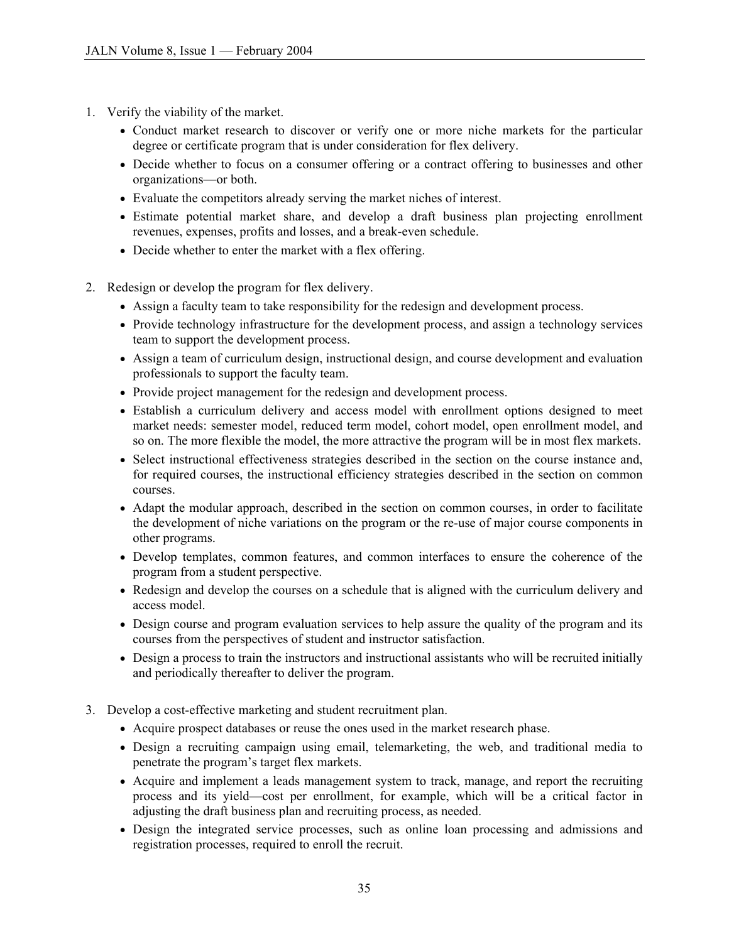- 1. Verify the viability of the market.
	- Conduct market research to discover or verify one or more niche markets for the particular degree or certificate program that is under consideration for flex delivery.
	- Decide whether to focus on a consumer offering or a contract offering to businesses and other organizations—or both.
	- Evaluate the competitors already serving the market niches of interest.
	- Estimate potential market share, and develop a draft business plan projecting enrollment revenues, expenses, profits and losses, and a break-even schedule.
	- Decide whether to enter the market with a flex offering.
- 2. Redesign or develop the program for flex delivery.
	- Assign a faculty team to take responsibility for the redesign and development process.
	- Provide technology infrastructure for the development process, and assign a technology services team to support the development process.
	- Assign a team of curriculum design, instructional design, and course development and evaluation professionals to support the faculty team.
	- Provide project management for the redesign and development process.
	- Establish a curriculum delivery and access model with enrollment options designed to meet market needs: semester model, reduced term model, cohort model, open enrollment model, and so on. The more flexible the model, the more attractive the program will be in most flex markets.
	- Select instructional effectiveness strategies described in the section on the course instance and, for required courses, the instructional efficiency strategies described in the section on common courses.
	- Adapt the modular approach, described in the section on common courses, in order to facilitate the development of niche variations on the program or the re-use of major course components in other programs.
	- Develop templates, common features, and common interfaces to ensure the coherence of the program from a student perspective.
	- Redesign and develop the courses on a schedule that is aligned with the curriculum delivery and access model.
	- Design course and program evaluation services to help assure the quality of the program and its courses from the perspectives of student and instructor satisfaction.
	- Design a process to train the instructors and instructional assistants who will be recruited initially and periodically thereafter to deliver the program.
- 3. Develop a cost-effective marketing and student recruitment plan.
	- Acquire prospect databases or reuse the ones used in the market research phase.
	- Design a recruiting campaign using email, telemarketing, the web, and traditional media to penetrate the program's target flex markets.
	- Acquire and implement a leads management system to track, manage, and report the recruiting process and its yield—cost per enrollment, for example, which will be a critical factor in adjusting the draft business plan and recruiting process, as needed.
	- Design the integrated service processes, such as online loan processing and admissions and registration processes, required to enroll the recruit.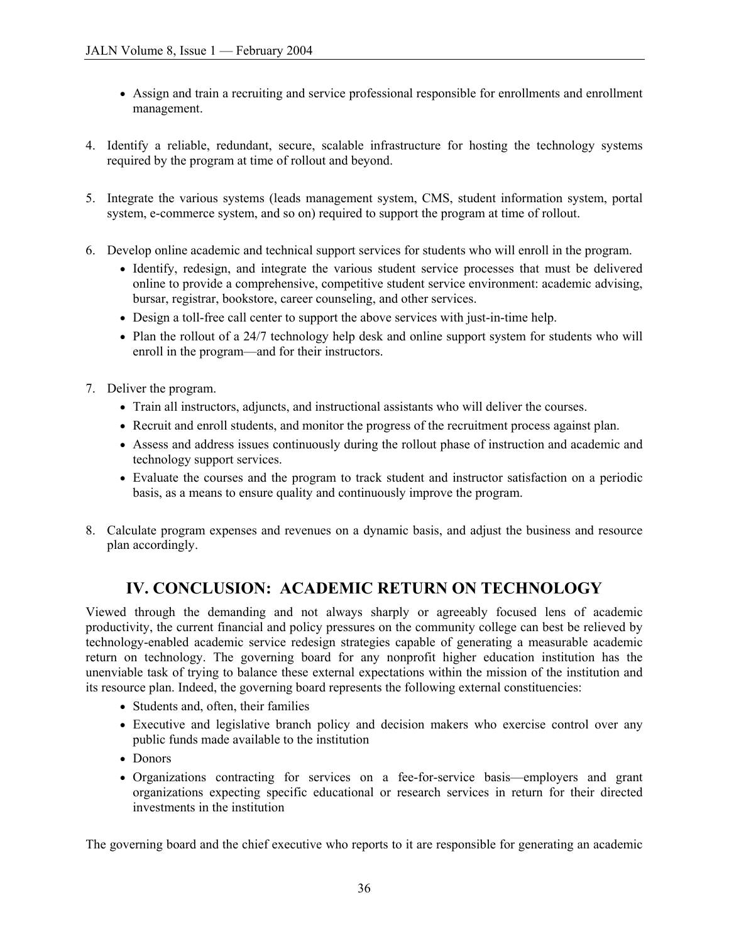- Assign and train a recruiting and service professional responsible for enrollments and enrollment management.
- 4. Identify a reliable, redundant, secure, scalable infrastructure for hosting the technology systems required by the program at time of rollout and beyond.
- 5. Integrate the various systems (leads management system, CMS, student information system, portal system, e-commerce system, and so on) required to support the program at time of rollout.
- 6. Develop online academic and technical support services for students who will enroll in the program.
	- Identify, redesign, and integrate the various student service processes that must be delivered online to provide a comprehensive, competitive student service environment: academic advising, bursar, registrar, bookstore, career counseling, and other services.
	- Design a toll-free call center to support the above services with just-in-time help.
	- Plan the rollout of a 24/7 technology help desk and online support system for students who will enroll in the program—and for their instructors.
- 7. Deliver the program.
	- Train all instructors, adjuncts, and instructional assistants who will deliver the courses.
	- Recruit and enroll students, and monitor the progress of the recruitment process against plan.
	- Assess and address issues continuously during the rollout phase of instruction and academic and technology support services.
	- Evaluate the courses and the program to track student and instructor satisfaction on a periodic basis, as a means to ensure quality and continuously improve the program.
- 8. Calculate program expenses and revenues on a dynamic basis, and adjust the business and resource plan accordingly.

## **IV. CONCLUSION: ACADEMIC RETURN ON TECHNOLOGY**

Viewed through the demanding and not always sharply or agreeably focused lens of academic productivity, the current financial and policy pressures on the community college can best be relieved by technology-enabled academic service redesign strategies capable of generating a measurable academic return on technology. The governing board for any nonprofit higher education institution has the unenviable task of trying to balance these external expectations within the mission of the institution and its resource plan. Indeed, the governing board represents the following external constituencies:

- Students and, often, their families
- Executive and legislative branch policy and decision makers who exercise control over any public funds made available to the institution
- Donors
- Organizations contracting for services on a fee-for-service basis—employers and grant organizations expecting specific educational or research services in return for their directed investments in the institution

The governing board and the chief executive who reports to it are responsible for generating an academic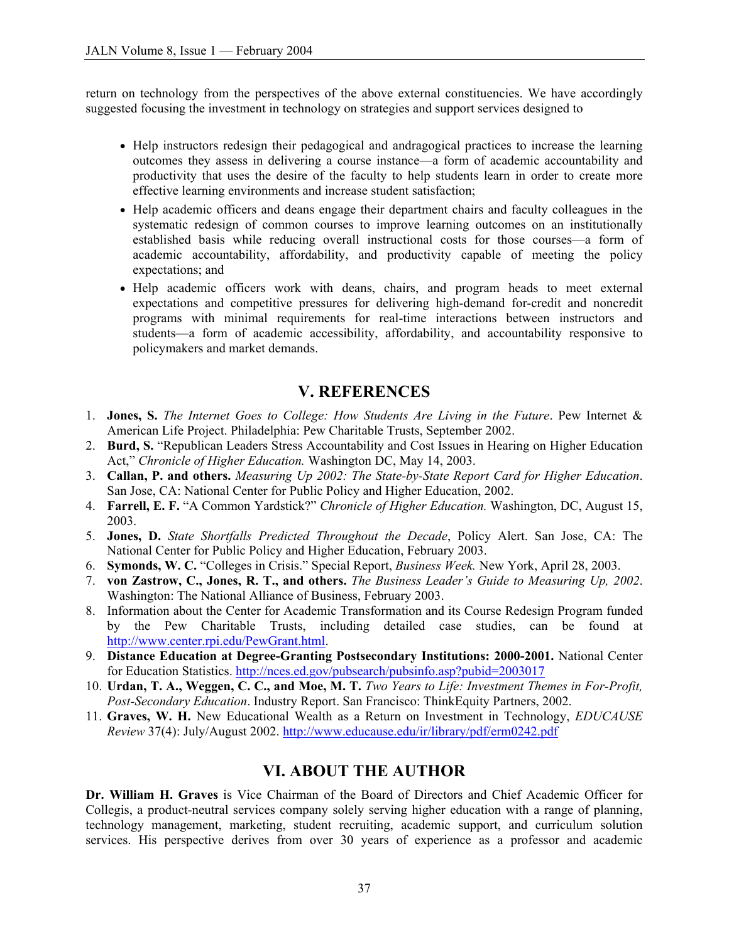return on technology from the perspectives of the above external constituencies. We have accordingly suggested focusing the investment in technology on strategies and support services designed to

- Help instructors redesign their pedagogical and andragogical practices to increase the learning outcomes they assess in delivering a course instance—a form of academic accountability and productivity that uses the desire of the faculty to help students learn in order to create more effective learning environments and increase student satisfaction;
- Help academic officers and deans engage their department chairs and faculty colleagues in the systematic redesign of common courses to improve learning outcomes on an institutionally established basis while reducing overall instructional costs for those courses—a form of academic accountability, affordability, and productivity capable of meeting the policy expectations; and
- Help academic officers work with deans, chairs, and program heads to meet external expectations and competitive pressures for delivering high-demand for-credit and noncredit programs with minimal requirements for real-time interactions between instructors and students—a form of academic accessibility, affordability, and accountability responsive to policymakers and market demands.

## **V. REFERENCES**

- 1. **Jones, S.** *The Internet Goes to College: How Students Are Living in the Future*. Pew Internet & American Life Project. Philadelphia: Pew Charitable Trusts, September 2002.
- 2. **Burd, S.** "Republican Leaders Stress Accountability and Cost Issues in Hearing on Higher Education Act," *Chronicle of Higher Education.* Washington DC, May 14, 2003.
- 3. **Callan, P. and others.** *Measuring Up 2002: The State-by-State Report Card for Higher Education*. San Jose, CA: National Center for Public Policy and Higher Education, 2002.
- 4. **Farrell, E. F.** "A Common Yardstick?" *Chronicle of Higher Education.* Washington, DC, August 15, 2003.
- 5. **Jones, D.** *State Shortfalls Predicted Throughout the Decade*, Policy Alert. San Jose, CA: The National Center for Public Policy and Higher Education, February 2003.
- 6. **Symonds, W. C.** "Colleges in Crisis." Special Report, *Business Week.* New York, April 28, 2003.
- 7. **von Zastrow, C., Jones, R. T., and others.** *The Business Leader's Guide to Measuring Up, 2002*. Washington: The National Alliance of Business, February 2003.
- 8. Information about the Center for Academic Transformation and its Course Redesign Program funded by the Pew Charitable Trusts, including detailed case studies, can be found at [http://www.center.rpi.edu/PewGrant.html.](http://www.center.rpi.edu/PewGrant.html)
- 9. **Distance Education at Degree-Granting Postsecondary Institutions: 2000-2001.** National Center for Education Statistics.<http://nces.ed.gov/pubsearch/pubsinfo.asp?pubid=2003017>
- 10. **Urdan, T. A., Weggen, C. C., and Moe, M. T.** *Two Years to Life: Investment Themes in For-Profit, Post-Secondary Education*. Industry Report. San Francisco: ThinkEquity Partners, 2002.
- 11. **Graves, W. H.** New Educational Wealth as a Return on Investment in Technology, *EDUCAUSE Review* 37(4): July/August 2002. <http://www.educause.edu/ir/library/pdf/erm0242.pdf>

## **VI. ABOUT THE AUTHOR**

**Dr. William H. Graves** is Vice Chairman of the Board of Directors and Chief Academic Officer for Collegis, a product-neutral services company solely serving higher education with a range of planning, technology management, marketing, student recruiting, academic support, and curriculum solution services. His perspective derives from over 30 years of experience as a professor and academic